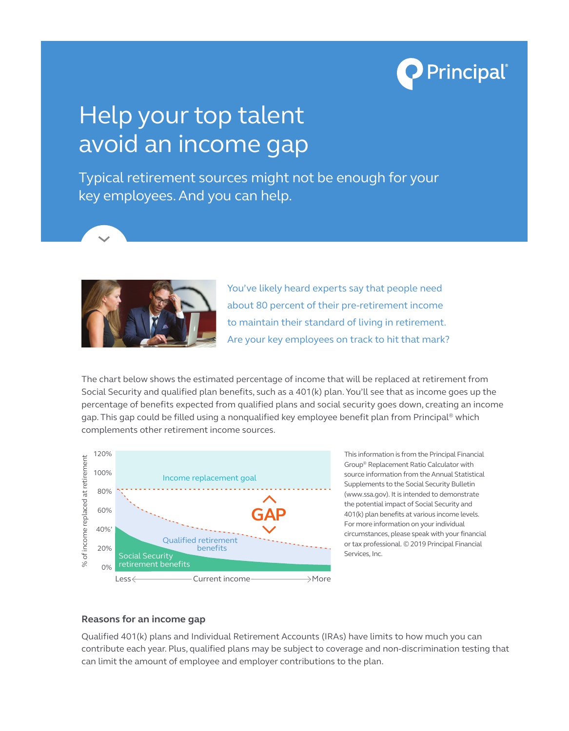

# Help your top talent avoid an income gap

Typical retirement sources might not be enough for your key employees. And you can help.



You've likely heard experts say that people need about 80 percent of their pre-retirement income to maintain their standard of living in retirement. Are your key employees on track to hit that mark?

The chart below shows the estimated percentage of income that will be replaced at retirement from Social Security and qualified plan benefits, such as a 401(k) plan. You'll see that as income goes up the percentage of benefits expected from qualified plans and social security goes down, creating an income gap. This gap could be filled using a nonqualified key employee benefit plan from Principal<sup>®</sup> which complements other retirement income sources.



This information is from the Principal Financial Group® Replacement Ratio Calculator with source information from the Annual Statistical Supplements to the Social Security Bulletin (www.ssa.gov). It is intended to demonstrate the potential impact of Social Security and 401(k) plan benefits at various income levels. For more information on your individual circumstances, please speak with your financial or tax professional. © 2019 Principal Financial Services, Inc.

## **Reasons for an income gap**

Qualified 401(k) plans and Individual Retirement Accounts (IRAs) have limits to how much you can contribute each year. Plus, qualified plans may be subject to coverage and non-discrimination testing that can limit the amount of employee and employer contributions to the plan.